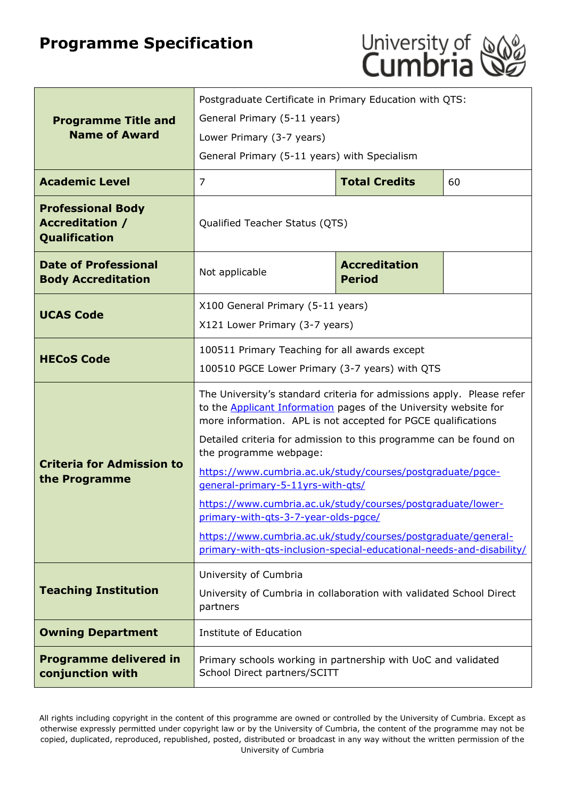# **Programme Specification**



|                                                                     | Postgraduate Certificate in Primary Education with QTS:                                                                                                                                                           |                                       |    |
|---------------------------------------------------------------------|-------------------------------------------------------------------------------------------------------------------------------------------------------------------------------------------------------------------|---------------------------------------|----|
| <b>Programme Title and</b><br><b>Name of Award</b>                  | General Primary (5-11 years)                                                                                                                                                                                      |                                       |    |
|                                                                     | Lower Primary (3-7 years)                                                                                                                                                                                         |                                       |    |
|                                                                     | General Primary (5-11 years) with Specialism                                                                                                                                                                      |                                       |    |
| <b>Academic Level</b>                                               | $\overline{7}$                                                                                                                                                                                                    | <b>Total Credits</b>                  | 60 |
| <b>Professional Body</b><br><b>Accreditation /</b><br>Qualification | Qualified Teacher Status (QTS)                                                                                                                                                                                    |                                       |    |
| <b>Date of Professional</b><br><b>Body Accreditation</b>            | Not applicable                                                                                                                                                                                                    | <b>Accreditation</b><br><b>Period</b> |    |
|                                                                     | X100 General Primary (5-11 years)                                                                                                                                                                                 |                                       |    |
| <b>UCAS Code</b>                                                    | X121 Lower Primary (3-7 years)                                                                                                                                                                                    |                                       |    |
|                                                                     | 100511 Primary Teaching for all awards except                                                                                                                                                                     |                                       |    |
| <b>HECoS Code</b>                                                   | 100510 PGCE Lower Primary (3-7 years) with QTS                                                                                                                                                                    |                                       |    |
|                                                                     | The University's standard criteria for admissions apply. Please refer<br>to the <b>Applicant Information</b> pages of the University website for<br>more information. APL is not accepted for PGCE qualifications |                                       |    |
|                                                                     | Detailed criteria for admission to this programme can be found on<br>the programme webpage:                                                                                                                       |                                       |    |
| <b>Criteria for Admission to</b><br>the Programme                   | https://www.cumbria.ac.uk/study/courses/postgraduate/pgce-<br>general-primary-5-11yrs-with-qts/                                                                                                                   |                                       |    |
|                                                                     | https://www.cumbria.ac.uk/study/courses/postgraduate/lower-<br>primary-with-qts-3-7-year-olds-pgce/                                                                                                               |                                       |    |
|                                                                     | https://www.cumbria.ac.uk/study/courses/postgraduate/general-<br>primary-with-qts-inclusion-special-educational-needs-and-disability/                                                                             |                                       |    |
|                                                                     | University of Cumbria                                                                                                                                                                                             |                                       |    |
| <b>Teaching Institution</b>                                         | University of Cumbria in collaboration with validated School Direct<br>partners                                                                                                                                   |                                       |    |
| <b>Owning Department</b>                                            | Institute of Education                                                                                                                                                                                            |                                       |    |
| <b>Programme delivered in</b><br>conjunction with                   | Primary schools working in partnership with UoC and validated<br>School Direct partners/SCITT                                                                                                                     |                                       |    |

All rights including copyright in the content of this programme are owned or controlled by the University of Cumbria. Except as otherwise expressly permitted under copyright law or by the University of Cumbria, the content of the programme may not be copied, duplicated, reproduced, republished, posted, distributed or broadcast in any way without the written permission of the University of Cumbria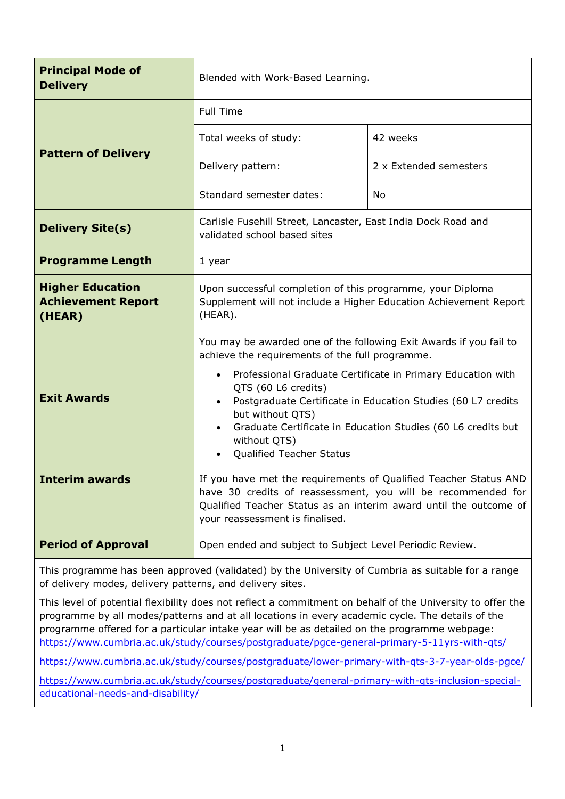| <b>Principal Mode of</b><br><b>Delivery</b>                    | Blended with Work-Based Learning.                                                                                                                                                                                                                                                                                   |                        |  |
|----------------------------------------------------------------|---------------------------------------------------------------------------------------------------------------------------------------------------------------------------------------------------------------------------------------------------------------------------------------------------------------------|------------------------|--|
|                                                                | <b>Full Time</b>                                                                                                                                                                                                                                                                                                    |                        |  |
|                                                                | Total weeks of study:                                                                                                                                                                                                                                                                                               | 42 weeks               |  |
| <b>Pattern of Delivery</b>                                     | Delivery pattern:                                                                                                                                                                                                                                                                                                   | 2 x Extended semesters |  |
|                                                                | Standard semester dates:                                                                                                                                                                                                                                                                                            | No                     |  |
| <b>Delivery Site(s)</b>                                        | Carlisle Fusehill Street, Lancaster, East India Dock Road and<br>validated school based sites                                                                                                                                                                                                                       |                        |  |
| <b>Programme Length</b>                                        | 1 year                                                                                                                                                                                                                                                                                                              |                        |  |
| <b>Higher Education</b><br><b>Achievement Report</b><br>(HEAR) | Upon successful completion of this programme, your Diploma<br>Supplement will not include a Higher Education Achievement Report<br>(HEAR).                                                                                                                                                                          |                        |  |
|                                                                | You may be awarded one of the following Exit Awards if you fail to<br>achieve the requirements of the full programme.                                                                                                                                                                                               |                        |  |
| <b>Exit Awards</b>                                             | Professional Graduate Certificate in Primary Education with<br>$\bullet$<br>QTS (60 L6 credits)<br>Postgraduate Certificate in Education Studies (60 L7 credits<br>but without QTS)<br>Graduate Certificate in Education Studies (60 L6 credits but<br>$\bullet$<br>without QTS)<br><b>Qualified Teacher Status</b> |                        |  |
| <b>Interim awards</b>                                          | If you have met the requirements of Qualified Teacher Status AND<br>have 30 credits of reassessment, you will be recommended for<br>Qualified Teacher Status as an interim award until the outcome of<br>your reassessment is finalised.                                                                            |                        |  |
| <b>Period of Approval</b>                                      | Open ended and subject to Subject Level Periodic Review.                                                                                                                                                                                                                                                            |                        |  |

This programme has been approved (validated) by the University of Cumbria as suitable for a range of delivery modes, delivery patterns, and delivery sites.

This level of potential flexibility does not reflect a commitment on behalf of the University to offer the programme by all modes/patterns and at all locations in every academic cycle. The details of the programme offered for a particular intake year will be as detailed on the programme webpage: <https://www.cumbria.ac.uk/study/courses/postgraduate/pgce-general-primary-5-11yrs-with-qts/>

<https://www.cumbria.ac.uk/study/courses/postgraduate/lower-primary-with-qts-3-7-year-olds-pgce/>

[https://www.cumbria.ac.uk/study/courses/postgraduate/general-primary-with-qts-inclusion-special](https://www.cumbria.ac.uk/study/courses/postgraduate/general-primary-with-qts-inclusion-special-educational-needs-and-disability/)[educational-needs-and-disability/](https://www.cumbria.ac.uk/study/courses/postgraduate/general-primary-with-qts-inclusion-special-educational-needs-and-disability/)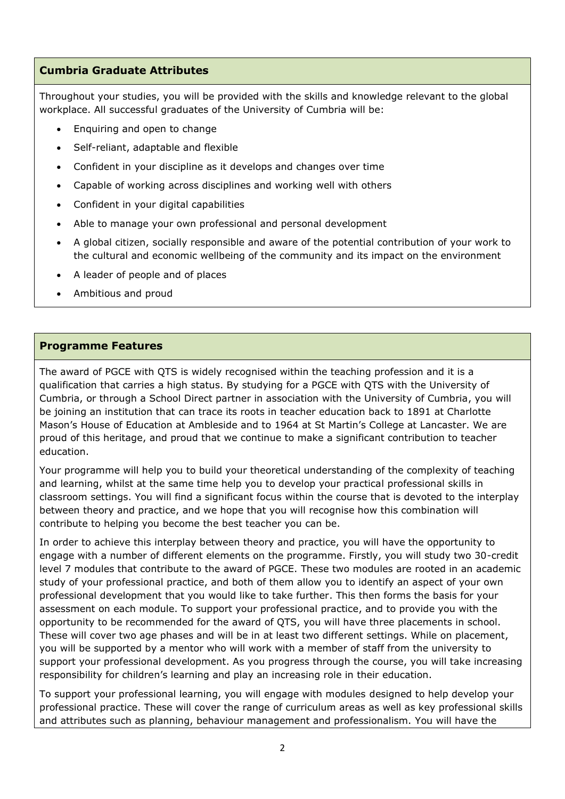## **Cumbria Graduate Attributes**

Throughout your studies, you will be provided with the skills and knowledge relevant to the global workplace. All successful graduates of the University of Cumbria will be:

- Enquiring and open to change
- Self-reliant, adaptable and flexible
- Confident in your discipline as it develops and changes over time
- Capable of working across disciplines and working well with others
- Confident in your digital capabilities
- Able to manage your own professional and personal development
- A global citizen, socially responsible and aware of the potential contribution of your work to the cultural and economic wellbeing of the community and its impact on the environment
- A leader of people and of places
- Ambitious and proud

#### **Programme Features**

The award of PGCE with QTS is widely recognised within the teaching profession and it is a qualification that carries a high status. By studying for a PGCE with QTS with the University of Cumbria, or through a School Direct partner in association with the University of Cumbria, you will be joining an institution that can trace its roots in teacher education back to 1891 at Charlotte Mason's House of Education at Ambleside and to 1964 at St Martin's College at Lancaster. We are proud of this heritage, and proud that we continue to make a significant contribution to teacher education.

Your programme will help you to build your theoretical understanding of the complexity of teaching and learning, whilst at the same time help you to develop your practical professional skills in classroom settings. You will find a significant focus within the course that is devoted to the interplay between theory and practice, and we hope that you will recognise how this combination will contribute to helping you become the best teacher you can be.

In order to achieve this interplay between theory and practice, you will have the opportunity to engage with a number of different elements on the programme. Firstly, you will study two 30-credit level 7 modules that contribute to the award of PGCE. These two modules are rooted in an academic study of your professional practice, and both of them allow you to identify an aspect of your own professional development that you would like to take further. This then forms the basis for your assessment on each module. To support your professional practice, and to provide you with the opportunity to be recommended for the award of QTS, you will have three placements in school. These will cover two age phases and will be in at least two different settings. While on placement, you will be supported by a mentor who will work with a member of staff from the university to support your professional development. As you progress through the course, you will take increasing responsibility for children's learning and play an increasing role in their education.

To support your professional learning, you will engage with modules designed to help develop your professional practice. These will cover the range of curriculum areas as well as key professional skills and attributes such as planning, behaviour management and professionalism. You will have the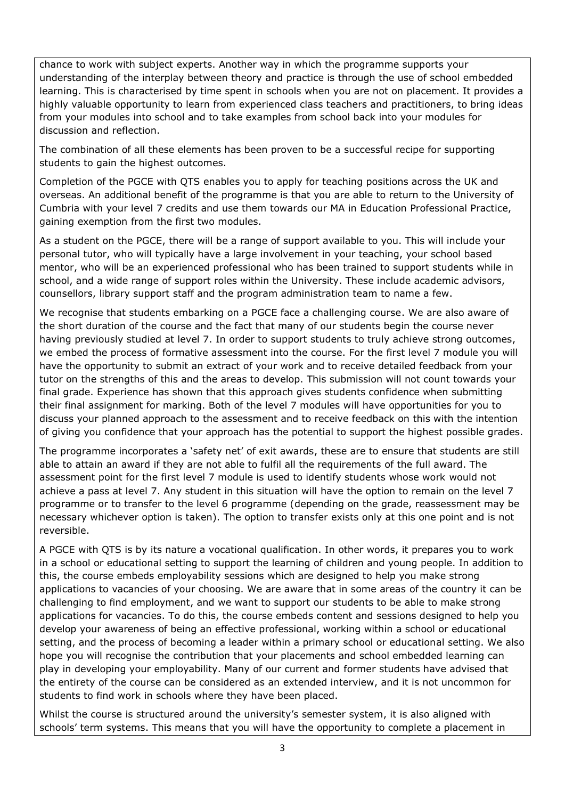chance to work with subject experts. Another way in which the programme supports your understanding of the interplay between theory and practice is through the use of school embedded learning. This is characterised by time spent in schools when you are not on placement. It provides a highly valuable opportunity to learn from experienced class teachers and practitioners, to bring ideas from your modules into school and to take examples from school back into your modules for discussion and reflection.

The combination of all these elements has been proven to be a successful recipe for supporting students to gain the highest outcomes.

Completion of the PGCE with QTS enables you to apply for teaching positions across the UK and overseas. An additional benefit of the programme is that you are able to return to the University of Cumbria with your level 7 credits and use them towards our MA in Education Professional Practice, gaining exemption from the first two modules.

As a student on the PGCE, there will be a range of support available to you. This will include your personal tutor, who will typically have a large involvement in your teaching, your school based mentor, who will be an experienced professional who has been trained to support students while in school, and a wide range of support roles within the University. These include academic advisors, counsellors, library support staff and the program administration team to name a few.

We recognise that students embarking on a PGCE face a challenging course. We are also aware of the short duration of the course and the fact that many of our students begin the course never having previously studied at level 7. In order to support students to truly achieve strong outcomes, we embed the process of formative assessment into the course. For the first level 7 module you will have the opportunity to submit an extract of your work and to receive detailed feedback from your tutor on the strengths of this and the areas to develop. This submission will not count towards your final grade. Experience has shown that this approach gives students confidence when submitting their final assignment for marking. Both of the level 7 modules will have opportunities for you to discuss your planned approach to the assessment and to receive feedback on this with the intention of giving you confidence that your approach has the potential to support the highest possible grades.

The programme incorporates a 'safety net' of exit awards, these are to ensure that students are still able to attain an award if they are not able to fulfil all the requirements of the full award. The assessment point for the first level 7 module is used to identify students whose work would not achieve a pass at level 7. Any student in this situation will have the option to remain on the level 7 programme or to transfer to the level 6 programme (depending on the grade, reassessment may be necessary whichever option is taken). The option to transfer exists only at this one point and is not reversible.

A PGCE with QTS is by its nature a vocational qualification. In other words, it prepares you to work in a school or educational setting to support the learning of children and young people. In addition to this, the course embeds employability sessions which are designed to help you make strong applications to vacancies of your choosing. We are aware that in some areas of the country it can be challenging to find employment, and we want to support our students to be able to make strong applications for vacancies. To do this, the course embeds content and sessions designed to help you develop your awareness of being an effective professional, working within a school or educational setting, and the process of becoming a leader within a primary school or educational setting. We also hope you will recognise the contribution that your placements and school embedded learning can play in developing your employability. Many of our current and former students have advised that the entirety of the course can be considered as an extended interview, and it is not uncommon for students to find work in schools where they have been placed.

Whilst the course is structured around the university's semester system, it is also aligned with schools' term systems. This means that you will have the opportunity to complete a placement in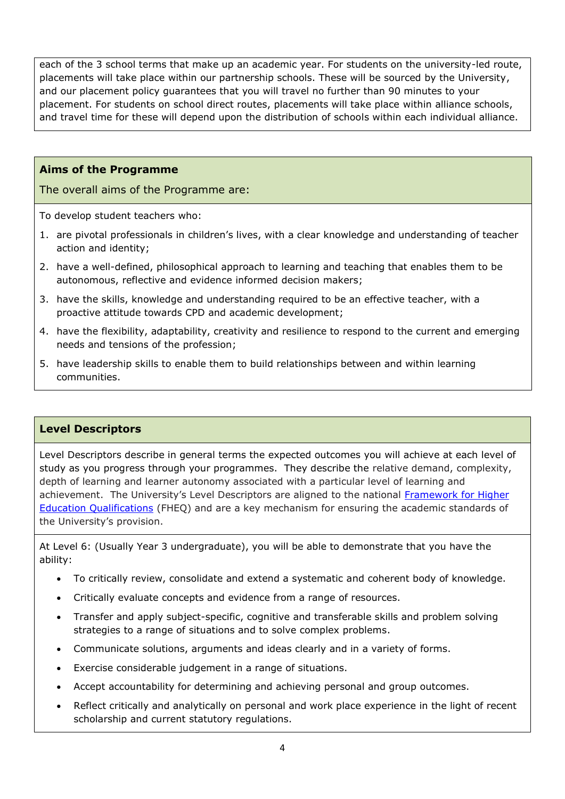each of the 3 school terms that make up an academic year. For students on the university-led route, placements will take place within our partnership schools. These will be sourced by the University, and our placement policy guarantees that you will travel no further than 90 minutes to your placement. For students on school direct routes, placements will take place within alliance schools, and travel time for these will depend upon the distribution of schools within each individual alliance.

## **Aims of the Programme**

The overall aims of the Programme are:

To develop student teachers who:

- 1. are pivotal professionals in children's lives, with a clear knowledge and understanding of teacher action and identity;
- 2. have a well-defined, philosophical approach to learning and teaching that enables them to be autonomous, reflective and evidence informed decision makers;
- 3. have the skills, knowledge and understanding required to be an effective teacher, with a proactive attitude towards CPD and academic development;
- 4. have the flexibility, adaptability, creativity and resilience to respond to the current and emerging needs and tensions of the profession;
- 5. have leadership skills to enable them to build relationships between and within learning communities.

### **Level Descriptors**

Level Descriptors describe in general terms the expected outcomes you will achieve at each level of study as you progress through your programmes. They describe the relative demand, complexity, depth of learning and learner autonomy associated with a particular level of learning and achievement. The University's Level Descriptors are aligned to the national [Framework for Higher](http://www.qaa.ac.uk/en/Publications/Documents/qualifications-frameworks.pdf)  [Education Qualifications](http://www.qaa.ac.uk/en/Publications/Documents/qualifications-frameworks.pdf) (FHEQ) and are a key mechanism for ensuring the academic standards of the University's provision.

At Level 6: (Usually Year 3 undergraduate), you will be able to demonstrate that you have the ability:

- To critically review, consolidate and extend a systematic and coherent body of knowledge.
- Critically evaluate concepts and evidence from a range of resources.
- Transfer and apply subject-specific, cognitive and transferable skills and problem solving strategies to a range of situations and to solve complex problems.
- Communicate solutions, arguments and ideas clearly and in a variety of forms.
- Exercise considerable judgement in a range of situations.
- Accept accountability for determining and achieving personal and group outcomes.
- Reflect critically and analytically on personal and work place experience in the light of recent scholarship and current statutory regulations.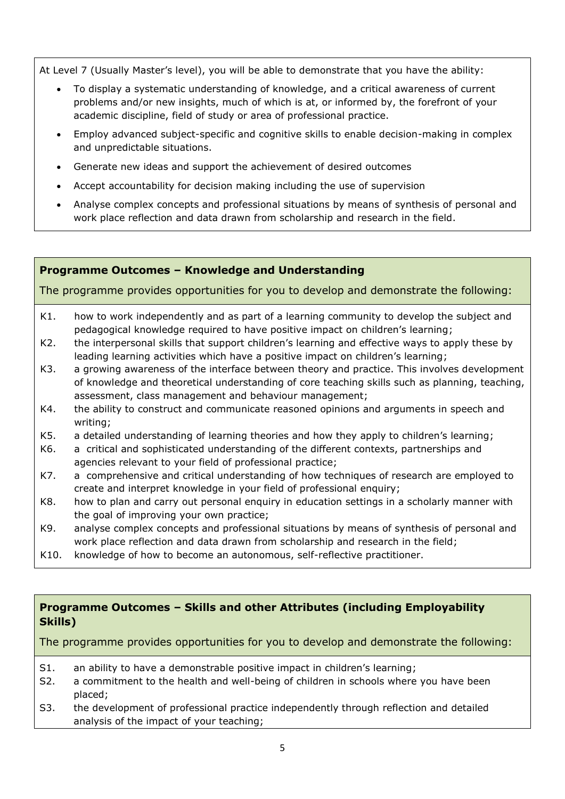At Level 7 (Usually Master's level), you will be able to demonstrate that you have the ability:

- To display a systematic understanding of knowledge, and a critical awareness of current problems and/or new insights, much of which is at, or informed by, the forefront of your academic discipline, field of study or area of professional practice.
- Employ advanced subject-specific and cognitive skills to enable decision-making in complex and unpredictable situations.
- Generate new ideas and support the achievement of desired outcomes
- Accept accountability for decision making including the use of supervision
- Analyse complex concepts and professional situations by means of synthesis of personal and work place reflection and data drawn from scholarship and research in the field.

### **Programme Outcomes – Knowledge and Understanding**

The programme provides opportunities for you to develop and demonstrate the following:

- K1. how to work independently and as part of a learning community to develop the subject and pedagogical knowledge required to have positive impact on children's learning;
- K2. the interpersonal skills that support children's learning and effective ways to apply these by leading learning activities which have a positive impact on children's learning;
- K3. a growing awareness of the interface between theory and practice. This involves development of knowledge and theoretical understanding of core teaching skills such as planning, teaching, assessment, class management and behaviour management;
- K4. the ability to construct and communicate reasoned opinions and arguments in speech and writing;
- K5. a detailed understanding of learning theories and how they apply to children's learning;
- K6. a critical and sophisticated understanding of the different contexts, partnerships and agencies relevant to your field of professional practice;
- K7. a comprehensive and critical understanding of how techniques of research are employed to create and interpret knowledge in your field of professional enquiry;
- K8. how to plan and carry out personal enquiry in education settings in a scholarly manner with the goal of improving your own practice;
- K9. analyse complex concepts and professional situations by means of synthesis of personal and work place reflection and data drawn from scholarship and research in the field;
- K10. knowledge of how to become an autonomous, self-reflective practitioner.

### **Programme Outcomes – Skills and other Attributes (including Employability Skills)**

The programme provides opportunities for you to develop and demonstrate the following:

- S1. an ability to have a demonstrable positive impact in children's learning;
- S2. a commitment to the health and well-being of children in schools where you have been placed;
- S3. the development of professional practice independently through reflection and detailed analysis of the impact of your teaching;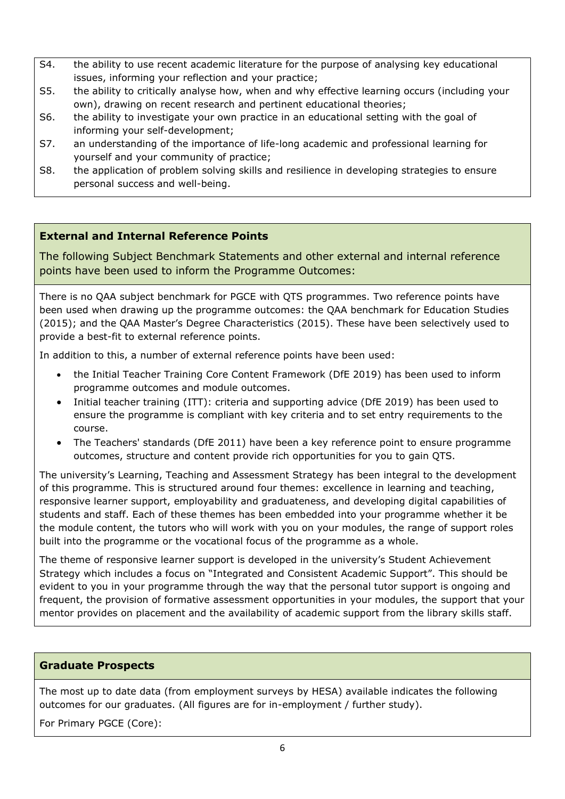- S4. the ability to use recent academic literature for the purpose of analysing key educational issues, informing your reflection and your practice;
- S5. the ability to critically analyse how, when and why effective learning occurs (including your own), drawing on recent research and pertinent educational theories;
- S6. the ability to investigate your own practice in an educational setting with the goal of informing your self-development;
- S7. an understanding of the importance of life-long academic and professional learning for yourself and your community of practice;
- S8. the application of problem solving skills and resilience in developing strategies to ensure personal success and well-being.

# **External and Internal Reference Points**

The following Subject Benchmark Statements and other external and internal reference points have been used to inform the Programme Outcomes:

There is no QAA subject benchmark for PGCE with QTS programmes. Two reference points have been used when drawing up the programme outcomes: the QAA benchmark for Education Studies (2015); and the QAA Master's Degree Characteristics (2015). These have been selectively used to provide a best-fit to external reference points.

In addition to this, a number of external reference points have been used:

- the Initial Teacher Training Core Content Framework (DfE 2019) has been used to inform programme outcomes and module outcomes.
- Initial teacher training (ITT): criteria and supporting advice (DfE 2019) has been used to ensure the programme is compliant with key criteria and to set entry requirements to the course.
- The Teachers' standards (DfE 2011) have been a key reference point to ensure programme outcomes, structure and content provide rich opportunities for you to gain QTS.

The university's Learning, Teaching and Assessment Strategy has been integral to the development of this programme. This is structured around four themes: excellence in learning and teaching, responsive learner support, employability and graduateness, and developing digital capabilities of students and staff. Each of these themes has been embedded into your programme whether it be the module content, the tutors who will work with you on your modules, the range of support roles built into the programme or the vocational focus of the programme as a whole.

The theme of responsive learner support is developed in the university's Student Achievement Strategy which includes a focus on "Integrated and Consistent Academic Support". This should be evident to you in your programme through the way that the personal tutor support is ongoing and frequent, the provision of formative assessment opportunities in your modules, the support that your mentor provides on placement and the availability of academic support from the library skills staff.

### **Graduate Prospects**

The most up to date data (from employment surveys by HESA) available indicates the following outcomes for our graduates. (All figures are for in-employment / further study).

For Primary PGCE (Core):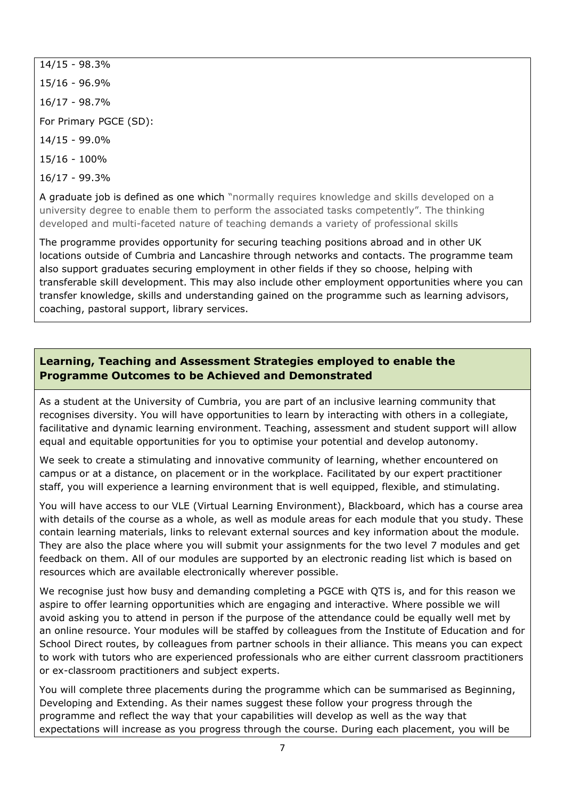14/15 - 98.3%

15/16 - 96.9%

16/17 - 98.7%

For Primary PGCE (SD):

14/15 - 99.0%

15/16 - 100%

16/17 - 99.3%

A graduate job is defined as one which "normally requires knowledge and skills developed on a university degree to enable them to perform the associated tasks competently". The thinking developed and multi-faceted nature of teaching demands a variety of professional skills

The programme provides opportunity for securing teaching positions abroad and in other UK locations outside of Cumbria and Lancashire through networks and contacts. The programme team also support graduates securing employment in other fields if they so choose, helping with transferable skill development. This may also include other employment opportunities where you can transfer knowledge, skills and understanding gained on the programme such as learning advisors, coaching, pastoral support, library services.

# **Learning, Teaching and Assessment Strategies employed to enable the Programme Outcomes to be Achieved and Demonstrated**

As a student at the University of Cumbria, you are part of an inclusive learning community that recognises diversity. You will have opportunities to learn by interacting with others in a collegiate, facilitative and dynamic learning environment. Teaching, assessment and student support will allow equal and equitable opportunities for you to optimise your potential and develop autonomy.

We seek to create a stimulating and innovative community of learning, whether encountered on campus or at a distance, on placement or in the workplace. Facilitated by our expert practitioner staff, you will experience a learning environment that is well equipped, flexible, and stimulating.

You will have access to our VLE (Virtual Learning Environment), Blackboard, which has a course area with details of the course as a whole, as well as module areas for each module that you study. These contain learning materials, links to relevant external sources and key information about the module. They are also the place where you will submit your assignments for the two level 7 modules and get feedback on them. All of our modules are supported by an electronic reading list which is based on resources which are available electronically wherever possible.

We recognise just how busy and demanding completing a PGCE with QTS is, and for this reason we aspire to offer learning opportunities which are engaging and interactive. Where possible we will avoid asking you to attend in person if the purpose of the attendance could be equally well met by an online resource. Your modules will be staffed by colleagues from the Institute of Education and for School Direct routes, by colleagues from partner schools in their alliance. This means you can expect to work with tutors who are experienced professionals who are either current classroom practitioners or ex-classroom practitioners and subject experts.

You will complete three placements during the programme which can be summarised as Beginning, Developing and Extending. As their names suggest these follow your progress through the programme and reflect the way that your capabilities will develop as well as the way that expectations will increase as you progress through the course. During each placement, you will be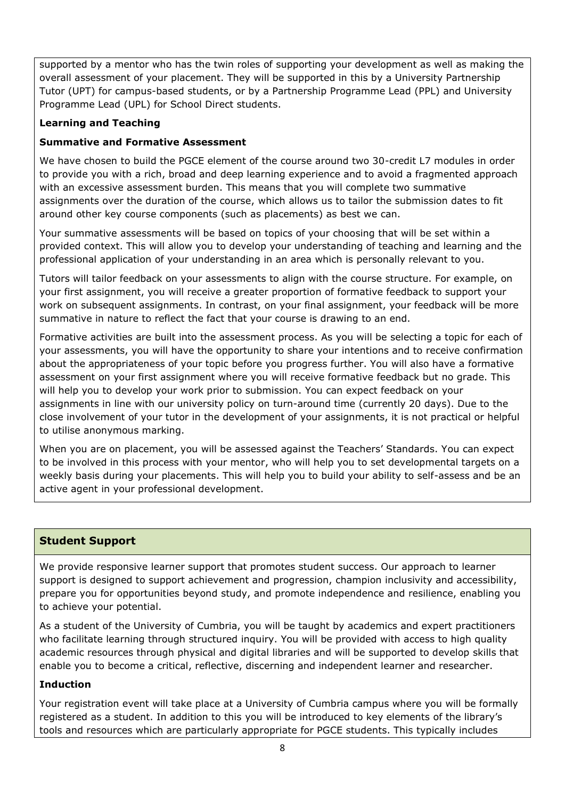supported by a mentor who has the twin roles of supporting your development as well as making the overall assessment of your placement. They will be supported in this by a University Partnership Tutor (UPT) for campus-based students, or by a Partnership Programme Lead (PPL) and University Programme Lead (UPL) for School Direct students.

## **Learning and Teaching**

#### **Summative and Formative Assessment**

We have chosen to build the PGCE element of the course around two 30-credit L7 modules in order to provide you with a rich, broad and deep learning experience and to avoid a fragmented approach with an excessive assessment burden. This means that you will complete two summative assignments over the duration of the course, which allows us to tailor the submission dates to fit around other key course components (such as placements) as best we can.

Your summative assessments will be based on topics of your choosing that will be set within a provided context. This will allow you to develop your understanding of teaching and learning and the professional application of your understanding in an area which is personally relevant to you.

Tutors will tailor feedback on your assessments to align with the course structure. For example, on your first assignment, you will receive a greater proportion of formative feedback to support your work on subsequent assignments. In contrast, on your final assignment, your feedback will be more summative in nature to reflect the fact that your course is drawing to an end.

Formative activities are built into the assessment process. As you will be selecting a topic for each of your assessments, you will have the opportunity to share your intentions and to receive confirmation about the appropriateness of your topic before you progress further. You will also have a formative assessment on your first assignment where you will receive formative feedback but no grade. This will help you to develop your work prior to submission. You can expect feedback on your assignments in line with our university policy on turn-around time (currently 20 days). Due to the close involvement of your tutor in the development of your assignments, it is not practical or helpful to utilise anonymous marking.

When you are on placement, you will be assessed against the Teachers' Standards. You can expect to be involved in this process with your mentor, who will help you to set developmental targets on a weekly basis during your placements. This will help you to build your ability to self-assess and be an active agent in your professional development.

### **Student Support**

We provide responsive learner support that promotes student success. Our approach to learner support is designed to support achievement and progression, champion inclusivity and accessibility, prepare you for opportunities beyond study, and promote independence and resilience, enabling you to achieve your potential.

As a student of the University of Cumbria, you will be taught by academics and expert practitioners who facilitate learning through structured inquiry. You will be provided with access to high quality academic resources through physical and digital libraries and will be supported to develop skills that enable you to become a critical, reflective, discerning and independent learner and researcher.

### **Induction**

Your registration event will take place at a University of Cumbria campus where you will be formally registered as a student. In addition to this you will be introduced to key elements of the library's tools and resources which are particularly appropriate for PGCE students. This typically includes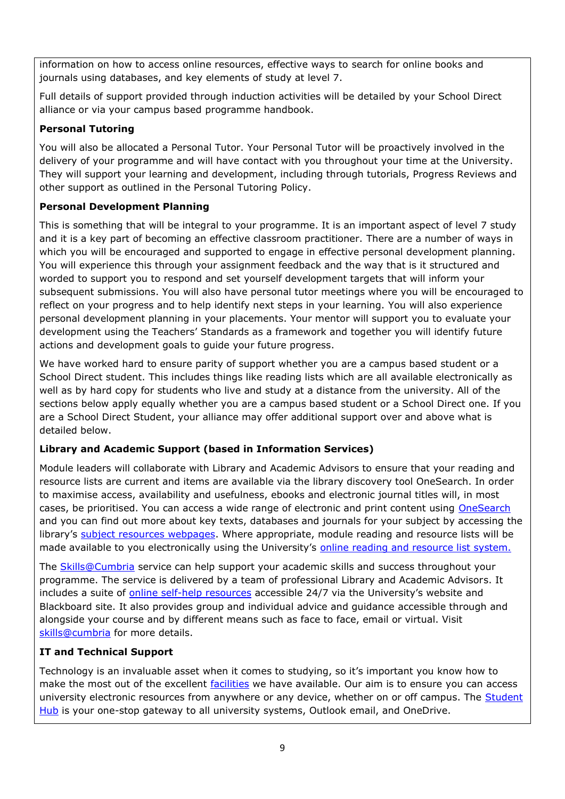information on how to access online resources, effective ways to search for online books and journals using databases, and key elements of study at level 7.

Full details of support provided through induction activities will be detailed by your School Direct alliance or via your campus based programme handbook.

## **Personal Tutoring**

You will also be allocated a Personal Tutor. Your Personal Tutor will be proactively involved in the delivery of your programme and will have contact with you throughout your time at the University. They will support your learning and development, including through tutorials, Progress Reviews and other support as outlined in the Personal Tutoring Policy.

# **Personal Development Planning**

This is something that will be integral to your programme. It is an important aspect of level 7 study and it is a key part of becoming an effective classroom practitioner. There are a number of ways in which you will be encouraged and supported to engage in effective personal development planning. You will experience this through your assignment feedback and the way that is it structured and worded to support you to respond and set yourself development targets that will inform your subsequent submissions. You will also have personal tutor meetings where you will be encouraged to reflect on your progress and to help identify next steps in your learning. You will also experience personal development planning in your placements. Your mentor will support you to evaluate your development using the Teachers' Standards as a framework and together you will identify future actions and development goals to guide your future progress.

We have worked hard to ensure parity of support whether you are a campus based student or a School Direct student. This includes things like reading lists which are all available electronically as well as by hard copy for students who live and study at a distance from the university. All of the sections below apply equally whether you are a campus based student or a School Direct one. If you are a School Direct Student, your alliance may offer additional support over and above what is detailed below.

# **Library and Academic Support (based in Information Services)**

Module leaders will collaborate with Library and Academic Advisors to ensure that your reading and resource lists are current and items are available via the library discovery tool OneSearch. In order to maximise access, availability and usefulness, ebooks and electronic journal titles will, in most cases, be prioritised. You can access a wide range of electronic and print content using [OneSearch](https://my.cumbria.ac.uk/Student-Life/Learning/OneSearch/) and you can find out more about key texts, databases and journals for your subject by accessing the library's [subject resources webpages.](http://my.cumbria.ac.uk/StudentLife/Learning/Resources/Subjects/Home.aspx) Where appropriate, module reading and resource lists will be made available to you electronically using the University's [online reading and resource list system.](https://my.cumbria.ac.uk/Student-Life/Learning/Resources/rebuslist-redirect/)

The [Skills@Cumbria](https://my.cumbria.ac.uk/Student-Life/Learning/Skills-Cumbria/) service can help support your academic skills and success throughout your programme. The service is delivered by a team of professional Library and Academic Advisors. It includes a suite of [online self-help resources](https://my.cumbria.ac.uk/Student-Life/Learning/Skills-Cumbria/) accessible 24/7 via the University's website and Blackboard site. It also provides group and individual advice and guidance accessible through and alongside your course and by different means such as face to face, email or virtual. Visit [skills@cumbria](https://my.cumbria.ac.uk/Student-Life/Learning/Skills-Cumbria/) for more details.

# **IT and Technical Support**

Technology is an invaluable asset when it comes to studying, so it's important you know how to make the most out of the excellent [facilities](https://www.cumbria.ac.uk/student-life/facilities/it-facilities/) we have available. Our aim is to ensure you can access university electronic resources from anywhere or any device, whether on or off campus. The [Student](https://universityofcumbria.mydaycloud.com/dashboard/allsorts)  [Hub](https://universityofcumbria.mydaycloud.com/dashboard/allsorts) is your one-stop gateway to all university systems, Outlook email, and OneDrive.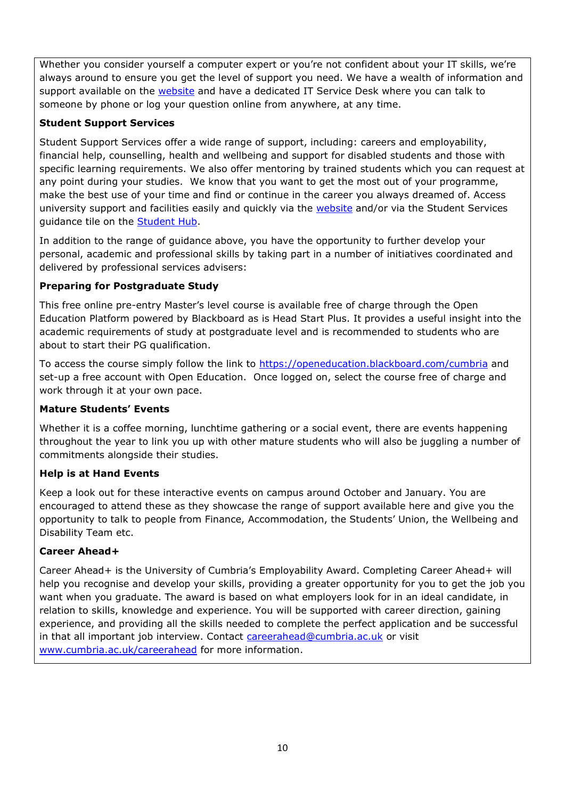Whether you consider yourself a computer expert or you're not confident about your IT skills, we're always around to ensure you get the level of support you need. We have a wealth of information and support available on the [website](https://my.cumbria.ac.uk/Student-Life/it-media/) and have a dedicated IT Service Desk where you can talk to someone by phone or log your question online from anywhere, at any time.

### **Student Support Services**

Student Support Services offer a wide range of support, including: careers and employability, financial help, counselling, health and wellbeing and support for disabled students and those with specific learning requirements. We also offer mentoring by trained students which you can request at any point during your studies. We know that you want to get the most out of your programme, make the best use of your time and find or continue in the career you always dreamed of. Access university support and facilities easily and quickly via the [website](https://my.cumbria.ac.uk/) and/or via the Student Services guidance tile on the [Student Hub.](https://universityofcumbria.mydaycloud.com/dashboard/staff-home)

In addition to the range of guidance above, you have the opportunity to further develop your personal, academic and professional skills by taking part in a number of initiatives coordinated and delivered by professional services advisers:

#### **Preparing for Postgraduate Study**

This free online pre-entry Master's level course is available free of charge through the Open Education Platform powered by Blackboard as is Head Start Plus. It provides a useful insight into the academic requirements of study at postgraduate level and is recommended to students who are about to start their PG qualification.

To access the course simply follow the link to<https://openeducation.blackboard.com/cumbria> and set-up a free account with Open Education. Once logged on, select the course free of charge and work through it at your own pace.

#### **Mature Students' Events**

Whether it is a coffee morning, lunchtime gathering or a social event, there are events happening throughout the year to link you up with other mature students who will also be juggling a number of commitments alongside their studies.

### **Help is at Hand Events**

Keep a look out for these interactive events on campus around October and January. You are encouraged to attend these as they showcase the range of support available here and give you the opportunity to talk to people from Finance, Accommodation, the Students' Union, the Wellbeing and Disability Team etc.

#### **Career Ahead+**

Career Ahead+ is the University of Cumbria's Employability Award. Completing Career Ahead+ will help you recognise and develop your skills, providing a greater opportunity for you to get the job you want when you graduate. The award is based on what employers look for in an ideal candidate, in relation to skills, knowledge and experience. You will be supported with career direction, gaining experience, and providing all the skills needed to complete the perfect application and be successful in that all important job interview. Contact [careerahead@cumbria.ac.uk](mailto:careerahead@cumbria.ac.uk) or visit [www.cumbria.ac.uk/careerahead](http://www.cumbria.ac.uk/careerahead) for more information.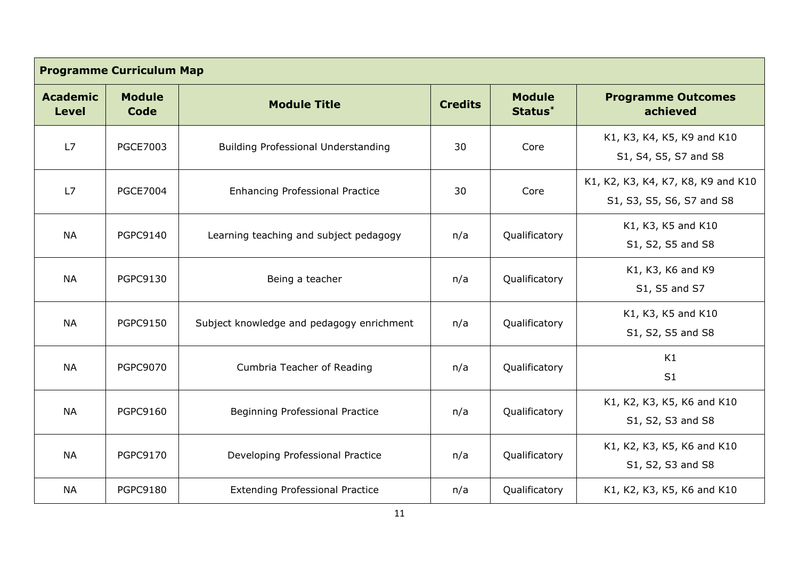| <b>Programme Curriculum Map</b> |                       |                                           |                |                                      |                                                                 |
|---------------------------------|-----------------------|-------------------------------------------|----------------|--------------------------------------|-----------------------------------------------------------------|
| <b>Academic</b><br><b>Level</b> | <b>Module</b><br>Code | <b>Module Title</b>                       | <b>Credits</b> | <b>Module</b><br>Status <sup>*</sup> | <b>Programme Outcomes</b><br>achieved                           |
| L7                              | <b>PGCE7003</b>       | Building Professional Understanding       | 30             | Core                                 | K1, K3, K4, K5, K9 and K10<br>S1, S4, S5, S7 and S8             |
| L7                              | <b>PGCE7004</b>       | <b>Enhancing Professional Practice</b>    | 30             | Core                                 | K1, K2, K3, K4, K7, K8, K9 and K10<br>S1, S3, S5, S6, S7 and S8 |
| <b>NA</b>                       | <b>PGPC9140</b>       | Learning teaching and subject pedagogy    | n/a            | Qualificatory                        | K1, K3, K5 and K10<br>S1, S2, S5 and S8                         |
| <b>NA</b>                       | <b>PGPC9130</b>       | Being a teacher                           | n/a            | Qualificatory                        | K1, K3, K6 and K9<br>S1, S5 and S7                              |
| <b>NA</b>                       | <b>PGPC9150</b>       | Subject knowledge and pedagogy enrichment | n/a            | Qualificatory                        | K1, K3, K5 and K10<br>S1, S2, S5 and S8                         |
| <b>NA</b>                       | <b>PGPC9070</b>       | Cumbria Teacher of Reading                | n/a            | Qualificatory                        | K1<br>S1                                                        |
| <b>NA</b>                       | <b>PGPC9160</b>       | <b>Beginning Professional Practice</b>    | n/a            | Qualificatory                        | K1, K2, K3, K5, K6 and K10<br>S1, S2, S3 and S8                 |
| <b>NA</b>                       | <b>PGPC9170</b>       | Developing Professional Practice          | n/a            | Qualificatory                        | K1, K2, K3, K5, K6 and K10<br>S1, S2, S3 and S8                 |
| <b>NA</b>                       | <b>PGPC9180</b>       | <b>Extending Professional Practice</b>    | n/a            | Qualificatory                        | K1, K2, K3, K5, K6 and K10                                      |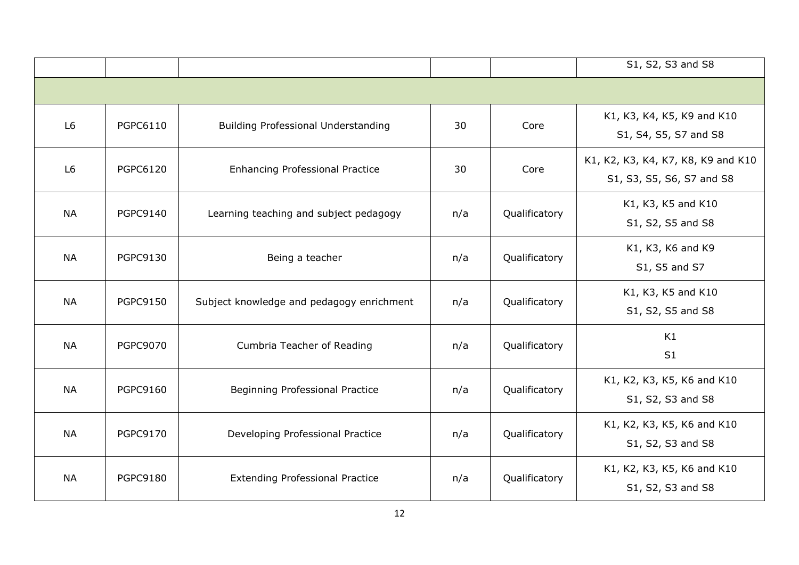|                |                 |                                           |     |               | S1, S2, S3 and S8                                               |
|----------------|-----------------|-------------------------------------------|-----|---------------|-----------------------------------------------------------------|
|                |                 |                                           |     |               |                                                                 |
| L <sub>6</sub> | PGPC6110        | Building Professional Understanding       | 30  | Core          | K1, K3, K4, K5, K9 and K10<br>S1, S4, S5, S7 and S8             |
| L <sub>6</sub> | <b>PGPC6120</b> | <b>Enhancing Professional Practice</b>    | 30  | Core          | K1, K2, K3, K4, K7, K8, K9 and K10<br>S1, S3, S5, S6, S7 and S8 |
| <b>NA</b>      | <b>PGPC9140</b> | Learning teaching and subject pedagogy    | n/a | Qualificatory | K1, K3, K5 and K10<br>S1, S2, S5 and S8                         |
| <b>NA</b>      | <b>PGPC9130</b> | Being a teacher                           | n/a | Qualificatory | K1, K3, K6 and K9<br>S1, S5 and S7                              |
| <b>NA</b>      | <b>PGPC9150</b> | Subject knowledge and pedagogy enrichment | n/a | Qualificatory | K1, K3, K5 and K10<br>S1, S2, S5 and S8                         |
| <b>NA</b>      | <b>PGPC9070</b> | Cumbria Teacher of Reading                | n/a | Qualificatory | K1<br>S1                                                        |
| <b>NA</b>      | <b>PGPC9160</b> | Beginning Professional Practice           | n/a | Qualificatory | K1, K2, K3, K5, K6 and K10<br>S1, S2, S3 and S8                 |
| <b>NA</b>      | <b>PGPC9170</b> | Developing Professional Practice          | n/a | Qualificatory | K1, K2, K3, K5, K6 and K10<br>S1, S2, S3 and S8                 |
| <b>NA</b>      | <b>PGPC9180</b> | <b>Extending Professional Practice</b>    | n/a | Qualificatory | K1, K2, K3, K5, K6 and K10<br>S1, S2, S3 and S8                 |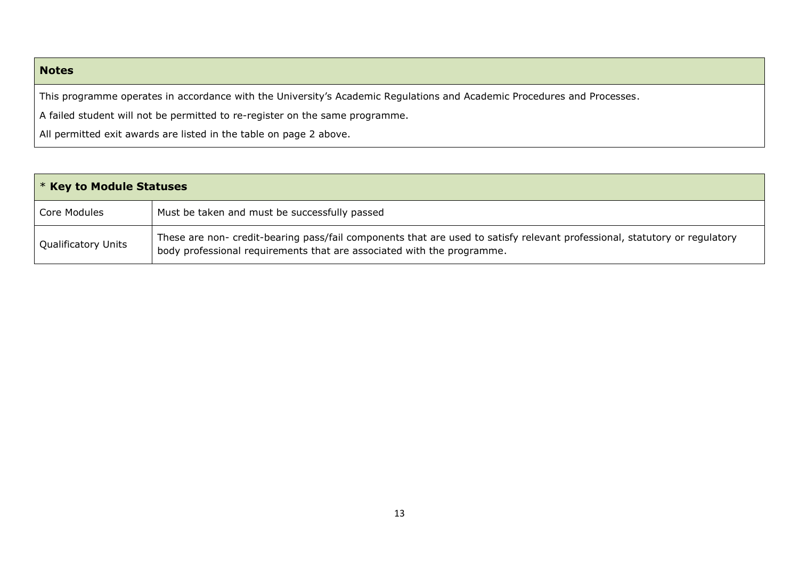## **Notes**

This programme operates in accordance with the University's Academic Regulations and Academic Procedures and Processes.

A failed student will not be permitted to re-register on the same programme.

All permitted exit awards are listed in the table on page 2 above.

| $\mathsf{I}$ * Key to Module Statuses |                                                                                                                                                                                                      |  |
|---------------------------------------|------------------------------------------------------------------------------------------------------------------------------------------------------------------------------------------------------|--|
| Core Modules                          | Must be taken and must be successfully passed                                                                                                                                                        |  |
| <b>Qualificatory Units</b>            | These are non- credit-bearing pass/fail components that are used to satisfy relevant professional, statutory or regulatory<br>body professional requirements that are associated with the programme. |  |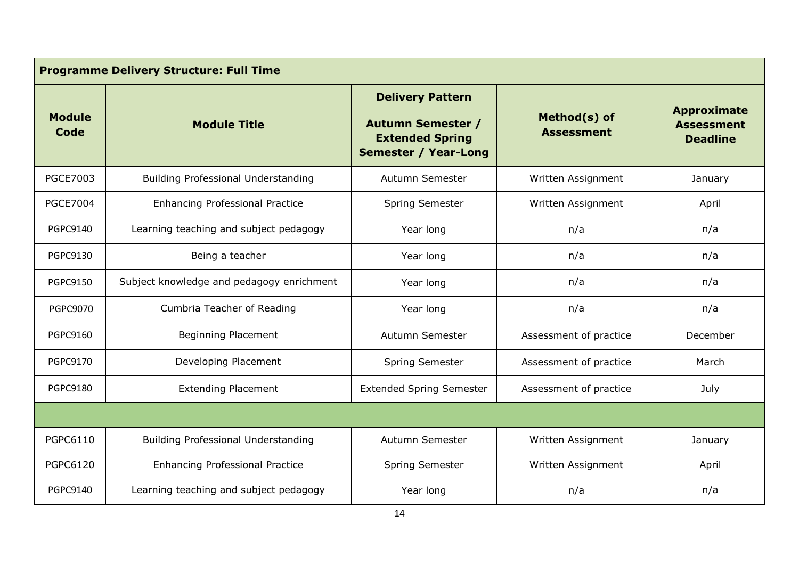| <b>Programme Delivery Structure: Full Time</b> |                                            |                                                                                   |                                   |                                                            |  |
|------------------------------------------------|--------------------------------------------|-----------------------------------------------------------------------------------|-----------------------------------|------------------------------------------------------------|--|
|                                                |                                            | <b>Delivery Pattern</b>                                                           |                                   |                                                            |  |
| <b>Module</b><br>Code                          | <b>Module Title</b>                        | <b>Autumn Semester /</b><br><b>Extended Spring</b><br><b>Semester / Year-Long</b> | Method(s) of<br><b>Assessment</b> | <b>Approximate</b><br><b>Assessment</b><br><b>Deadline</b> |  |
| <b>PGCE7003</b>                                | <b>Building Professional Understanding</b> | Autumn Semester                                                                   | Written Assignment                | January                                                    |  |
| <b>PGCE7004</b>                                | <b>Enhancing Professional Practice</b>     | <b>Spring Semester</b>                                                            | Written Assignment                | April                                                      |  |
| <b>PGPC9140</b>                                | Learning teaching and subject pedagogy     | Year long                                                                         | n/a                               | n/a                                                        |  |
| <b>PGPC9130</b>                                | Being a teacher                            | Year long                                                                         | n/a                               | n/a                                                        |  |
| <b>PGPC9150</b>                                | Subject knowledge and pedagogy enrichment  | Year long                                                                         | n/a                               | n/a                                                        |  |
| <b>PGPC9070</b>                                | Cumbria Teacher of Reading                 | Year long                                                                         | n/a                               | n/a                                                        |  |
| <b>PGPC9160</b>                                | <b>Beginning Placement</b>                 | Autumn Semester                                                                   | Assessment of practice            | December                                                   |  |
| <b>PGPC9170</b>                                | Developing Placement                       | <b>Spring Semester</b>                                                            | Assessment of practice            | March                                                      |  |
| <b>PGPC9180</b>                                | <b>Extending Placement</b>                 | <b>Extended Spring Semester</b>                                                   | Assessment of practice            | July                                                       |  |
|                                                |                                            |                                                                                   |                                   |                                                            |  |
| PGPC6110                                       | <b>Building Professional Understanding</b> | Autumn Semester                                                                   | Written Assignment                | January                                                    |  |
| <b>PGPC6120</b>                                | <b>Enhancing Professional Practice</b>     | Spring Semester                                                                   | Written Assignment                | April                                                      |  |
| <b>PGPC9140</b>                                | Learning teaching and subject pedagogy     | Year long                                                                         | n/a                               | n/a                                                        |  |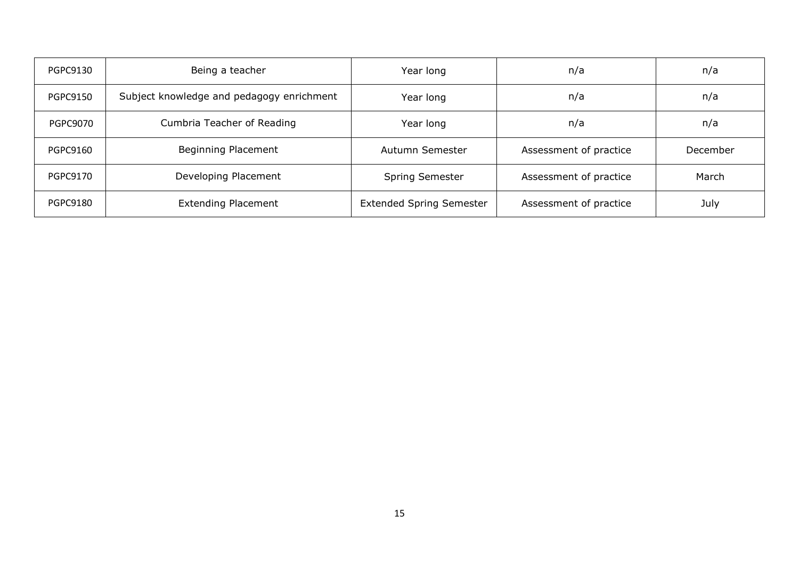| <b>PGPC9130</b> | Being a teacher                           | Year long                       | n/a                    | n/a      |
|-----------------|-------------------------------------------|---------------------------------|------------------------|----------|
| <b>PGPC9150</b> | Subject knowledge and pedagogy enrichment | Year long                       | n/a                    | n/a      |
| <b>PGPC9070</b> | Cumbria Teacher of Reading                | Year long                       | n/a                    | n/a      |
| <b>PGPC9160</b> | Beginning Placement                       | Autumn Semester                 | Assessment of practice | December |
| <b>PGPC9170</b> | Developing Placement                      | Spring Semester                 | Assessment of practice | March    |
| <b>PGPC9180</b> | <b>Extending Placement</b>                | <b>Extended Spring Semester</b> | Assessment of practice | July     |